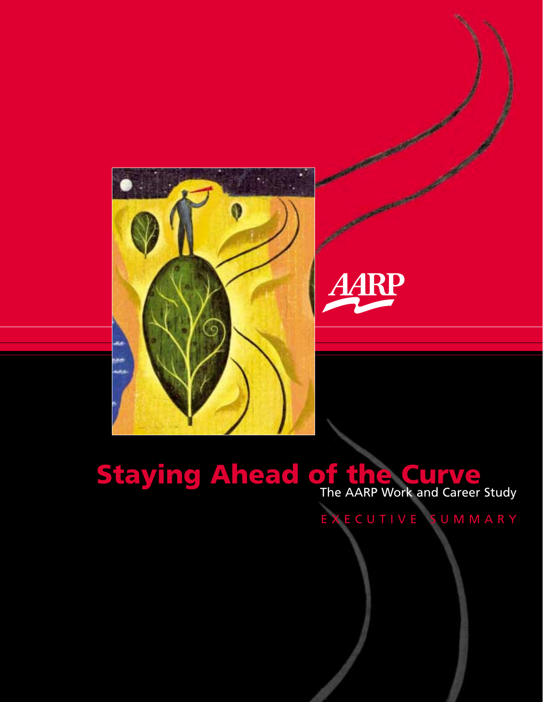

# **Staying Ahead of the Curve**<br>The AARP Work and Career Study

AARP

EXECUTIVE SUMMARY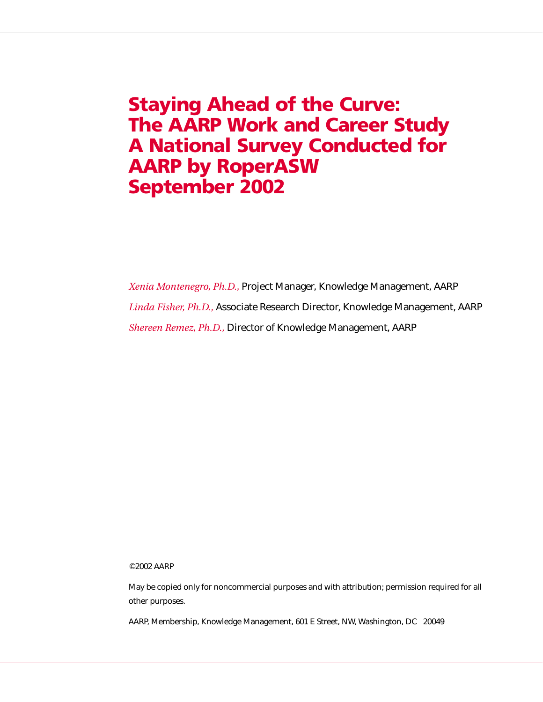# **Staying Ahead of the Curve: The AARP Work and Career Study A National Survey Conducted for AARP by RoperASW September 2002**

*Xenia Montenegro, Ph.D.,* Project Manager, Knowledge Management, AARP *Linda Fisher, Ph.D.,* Associate Research Director, Knowledge Management, AARP *Shereen Remez, Ph.D.,* Director of Knowledge Management, AARP

©2002 AARP

May be copied only for noncommercial purposes and with attribution; permission required for all other purposes.

AARP, Membership, Knowledge Management, 601 E Street, NW, Washington, DC 20049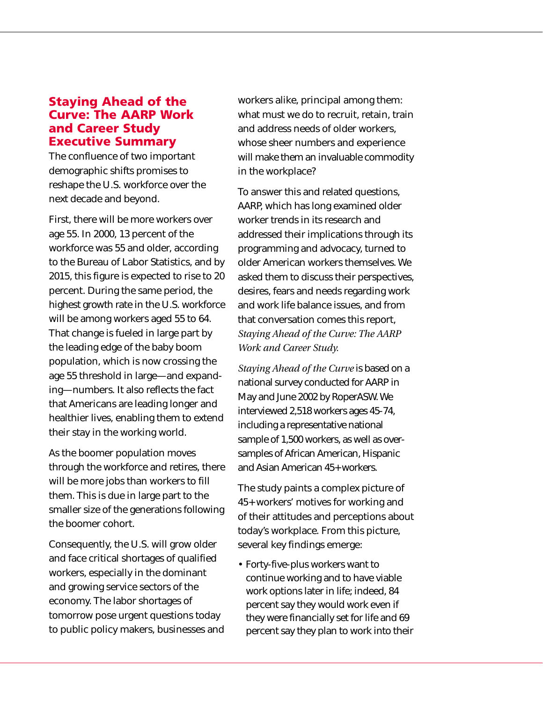# **Staying Ahead of the Curve: The AARP Work and Career Study Executive Summary**

The confluence of two important demographic shifts promises to reshape the U.S. workforce over the next decade and beyond.

First, there will be more workers over age 55. In 2000, 13 percent of the workforce was 55 and older, according to the Bureau of Labor Statistics, and by 2015, this figure is expected to rise to 20 percent. During the same period, the highest growth rate in the U.S. workforce will be among workers aged 55 to 64. That change is fueled in large part by the leading edge of the baby boom population, which is now crossing the age 55 threshold in large—and expanding—numbers. It also reflects the fact that Americans are leading longer and healthier lives, enabling them to extend their stay in the working world.

As the boomer population moves through the workforce and retires, there will be more jobs than workers to fill them. This is due in large part to the smaller size of the generations following the boomer cohort.

Consequently, the U.S. will grow older and face critical shortages of qualified workers, especially in the dominant and growing service sectors of the economy. The labor shortages of tomorrow pose urgent questions today to public policy makers, businesses and workers alike, principal among them: what must we do to recruit, retain, train and address needs of older workers, whose sheer numbers and experience will make them an invaluable commodity in the workplace?

To answer this and related questions, AARP, which has long examined older worker trends in its research and addressed their implications through its programming and advocacy, turned to older American workers themselves. We asked them to discuss their perspectives, desires, fears and needs regarding work and work life balance issues, and from that conversation comes this report, *Staying Ahead of the Curve: The AARP Work and Career Study.*

*Staying Ahead of the Curve* is based on a national survey conducted for AARP in May and June 2002 by RoperASW. We interviewed 2,518 workers ages 45-74, including a representative national sample of 1,500 workers, as well as oversamples of African American, Hispanic and Asian American 45+ workers.

The study paints a complex picture of 45+ workers' motives for working and of their attitudes and perceptions about today's workplace. From this picture, several key findings emerge:

• Forty-five-plus workers want to continue working and to have viable work options later in life; indeed, 84 percent say they would work even if they were financially set for life and 69 percent say they plan to work into their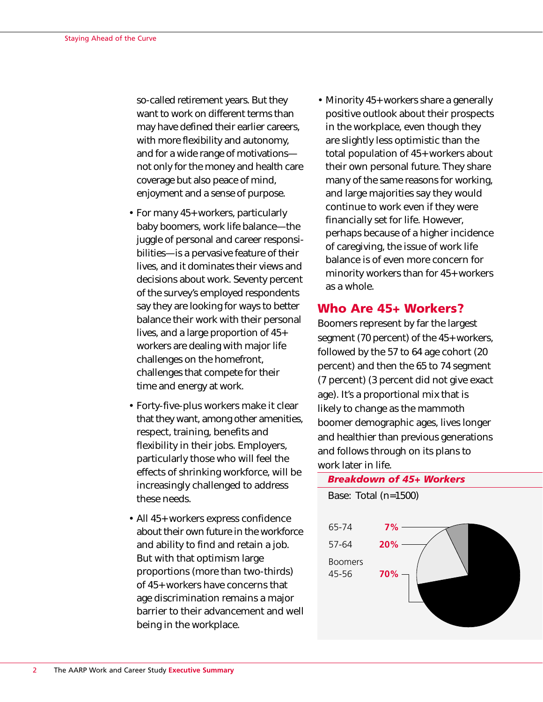so-called retirement years. But they want to work on different terms than may have defined their earlier careers, with more flexibility and autonomy, and for a wide range of motivations not only for the money and health care coverage but also peace of mind, enjoyment and a sense of purpose.

- For many 45+ workers, particularly baby boomers, work life balance—the juggle of personal and career responsibilities—is a pervasive feature of their lives, and it dominates their views and decisions about work. Seventy percent of the survey's employed respondents say they are looking for ways to better balance their work with their personal lives, and a large proportion of 45+ workers are dealing with major life challenges on the homefront, challenges that compete for their time and energy at work.
- Forty-five-plus workers make it clear that they want, among other amenities, respect, training, benefits and flexibility in their jobs. Employers, particularly those who will feel the effects of shrinking workforce, will be increasingly challenged to address these needs.
- All 45+ workers express confidence about their own future in the workforce and ability to find and retain a job. But with that optimism large proportions (more than two-thirds) of 45+ workers have concerns that age discrimination remains a major barrier to their advancement and well being in the workplace.

• Minority 45+ workers share a generally positive outlook about their prospects in the workplace, even though they are slightly less optimistic than the total population of 45+ workers about their own personal future. They share many of the same reasons for working, and large majorities say they would continue to work even if they were financially set for life. However, perhaps because of a higher incidence of caregiving, the issue of work life balance is of even more concern for minority workers than for 45+ workers as a whole.

# **Who Are 45+ Workers?**

Boomers represent by far the largest segment (70 percent) of the 45+ workers, followed by the 57 to 64 age cohort (20 percent) and then the 65 to 74 segment (7 percent) (3 percent did not give exact age). It's a proportional mix that is likely to change as the mammoth boomer demographic ages, lives longer and healthier than previous generations and follows through on its plans to work later in life.

### *Breakdown of 45+ Workers*

Base: Total (n=1500)

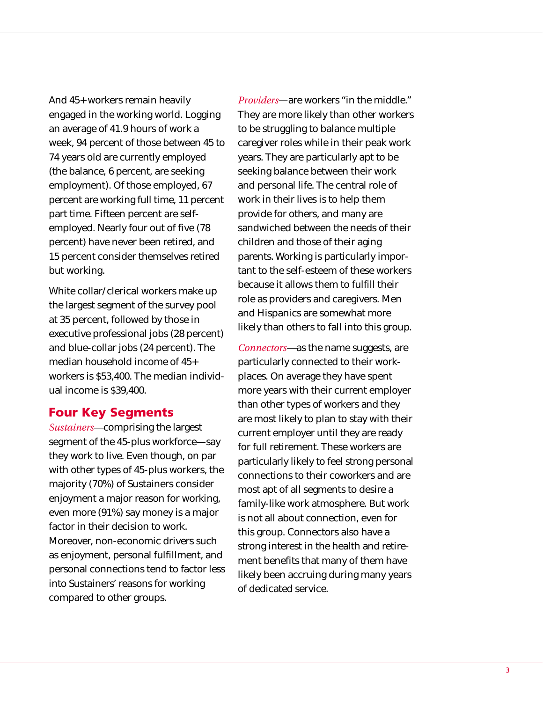And 45+ workers remain heavily engaged in the working world. Logging an average of 41.9 hours of work a week, 94 percent of those between 45 to 74 years old are currently employed (the balance, 6 percent, are seeking employment). Of those employed, 67 percent are working full time, 11 percent part time. Fifteen percent are selfemployed. Nearly four out of five (78 percent) have never been retired, and 15 percent consider themselves retired but working.

White collar/clerical workers make up the largest segment of the survey pool at 35 percent, followed by those in executive professional jobs (28 percent) and blue-collar jobs (24 percent). The median household income of 45+ workers is \$53,400. The median individual income is \$39,400.

## **Four Key Segments**

*Sustainers—*comprising the largest segment of the 45-plus workforce—say they work to live. Even though, on par with other types of 45-plus workers, the majority (70%) of Sustainers consider enjoyment a major reason for working, even more (91%) say money is a major factor in their decision to work. Moreover, non-economic drivers such as enjoyment, personal fulfillment, and personal connections tend to factor less into Sustainers' reasons for working compared to other groups.

*Providers*—are workers "in the middle." They are more likely than other workers to be struggling to balance multiple caregiver roles while in their peak work years. They are particularly apt to be seeking balance between their work and personal life. The central role of work in their lives is to help them provide for others, and many are sandwiched between the needs of their children and those of their aging parents. Working is particularly important to the self-esteem of these workers because it allows them to fulfill their role as providers and caregivers. Men and Hispanics are somewhat more likely than others to fall into this group.

*Connectors—*as the name suggests, are particularly connected to their workplaces. On average they have spent more years with their current employer than other types of workers and they are most likely to plan to stay with their current employer until they are ready for full retirement. These workers are particularly likely to feel strong personal connections to their coworkers and are most apt of all segments to desire a family-like work atmosphere. But work is not all about connection, even for this group. Connectors also have a strong interest in the health and retirement benefits that many of them have likely been accruing during many years of dedicated service.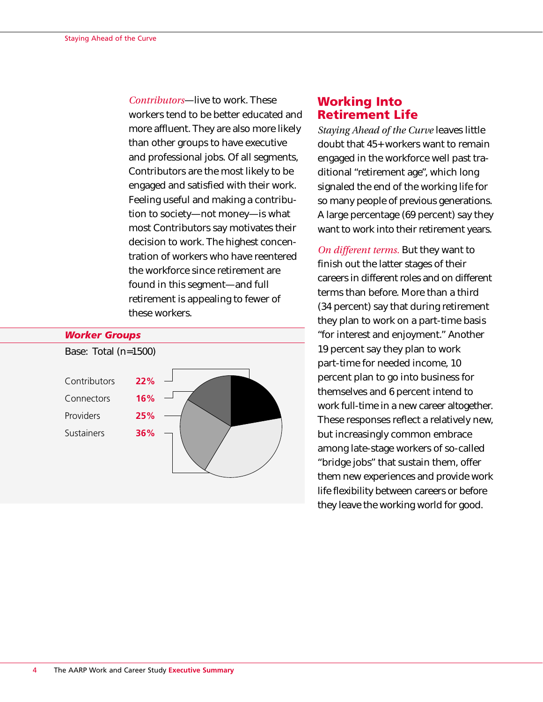*Contributors*—live to work. These workers tend to be better educated and more affluent. They are also more likely than other groups to have executive and professional jobs. Of all segments, Contributors are the most likely to be engaged and satisfied with their work. Feeling useful and making a contribution to society—not money—is what most Contributors say motivates their decision to work. The highest concentration of workers who have reentered the workforce since retirement are found in this segment—and full retirement is appealing to fewer of these workers.



# **Working Into Retirement Life**

*Staying Ahead of the Curve* leaves little doubt that 45+ workers want to remain engaged in the workforce well past traditional "retirement age", which long signaled the end of the working life for so many people of previous generations. A large percentage (69 percent) say they want to work into their retirement years.

*On different terms.* But they want to finish out the latter stages of their careers in different roles and on different terms than before. More than a third (34 percent) say that during retirement they plan to work on a part-time basis "for interest and enjoyment." Another 19 percent say they plan to work part-time for needed income, 10 percent plan to go into business for themselves and 6 percent intend to work full-time in a new career altogether. These responses reflect a relatively new, but increasingly common embrace among late-stage workers of so-called "bridge jobs" that sustain them, offer them new experiences and provide work life flexibility between careers or before they leave the working world for good.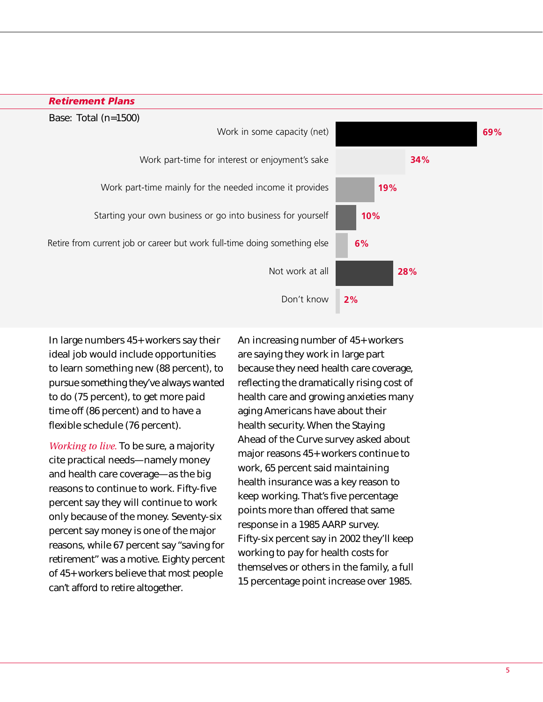

In large numbers 45+ workers say their ideal job would include opportunities to learn something new (88 percent), to pursue something they've always wanted to do (75 percent), to get more paid time off (86 percent) and to have a flexible schedule (76 percent).

*Working to live.* To be sure, a majority cite practical needs—namely money and health care coverage—as the big reasons to continue to work. Fifty-five percent say they will continue to work only because of the money. Seventy-six percent say money is one of the major reasons, while 67 percent say "saving for retirement" was a motive. Eighty percent of 45+ workers believe that most people can't afford to retire altogether.

An increasing number of 45+ workers are saying they work in large part because they need health care coverage, reflecting the dramatically rising cost of health care and growing anxieties many aging Americans have about their health security. When the Staying Ahead of the Curve survey asked about major reasons 45+ workers continue to work, 65 percent said maintaining health insurance was a key reason to keep working. That's five percentage points more than offered that same response in a 1985 AARP survey. Fifty-six percent say in 2002 they'll keep working to pay for health costs for themselves or others in the family, a full 15 percentage point increase over 1985.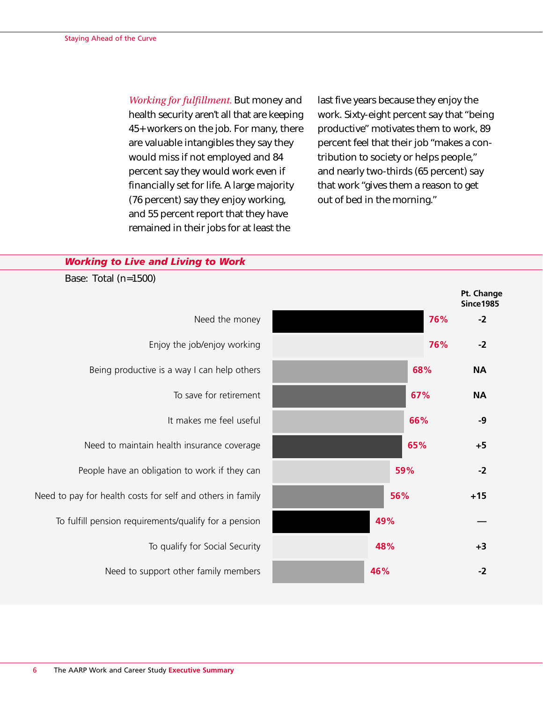*Working for fulfillment.* But money and health security aren't all that are keeping 45+ workers on the job. For many, there are valuable intangibles they say they would miss if not employed and 84 percent say they would work even if financially set for life. A large majority (76 percent) say they enjoy working, and 55 percent report that they have remained in their jobs for at least the

last five years because they enjoy the work. Sixty-eight percent say that "being productive" motivates them to work, 89 percent feel that their job "makes a contribution to society or helps people," and nearly two-thirds (65 percent) say that work "gives them a reason to get out of bed in the morning."

### *Working to Live and Living to Work*

Base: Total (n=1500)

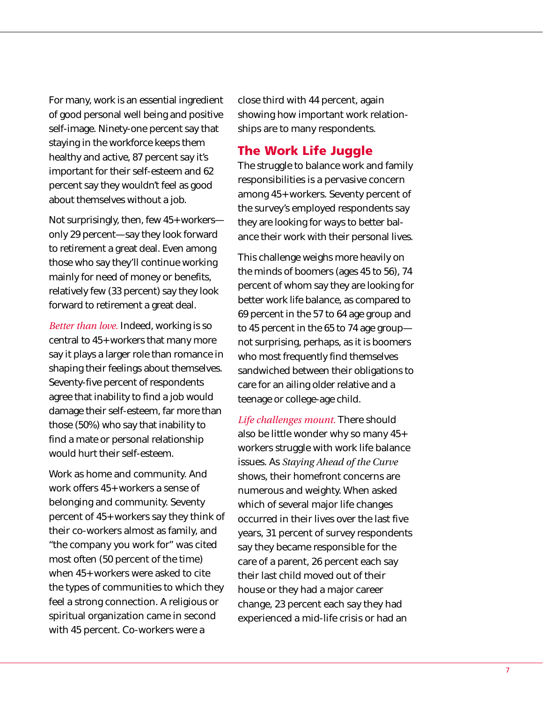For many, work is an essential ingredient of good personal well being and positive self-image. Ninety-one percent say that staying in the workforce keeps them healthy and active, 87 percent say it's important for their self-esteem and 62 percent say they wouldn't feel as good about themselves without a job.

Not surprisingly, then, few 45+ workers only 29 percent—say they look forward to retirement a great deal. Even among those who say they'll continue working mainly for need of money or benefits, relatively few (33 percent) say they look forward to retirement a great deal.

*Better than love.* Indeed, working is so central to 45+ workers that many more say it plays a larger role than romance in shaping their feelings about themselves. Seventy-five percent of respondents agree that inability to find a job would damage their self-esteem, far more than those (50%) who say that inability to find a mate or personal relationship would hurt their self-esteem.

Work as home and community. And work offers 45+ workers a sense of belonging and community. Seventy percent of 45+ workers say they think of their co-workers almost as family, and "the company you work for" was cited most often (50 percent of the time) when 45+ workers were asked to cite the types of communities to which they feel a strong connection. A religious or spiritual organization came in second with 45 percent. Co-workers were a

close third with 44 percent, again showing how important work relationships are to many respondents.

# **The Work Life Juggle**

The struggle to balance work and family responsibilities is a pervasive concern among 45+ workers. Seventy percent of the survey's employed respondents say they are looking for ways to better balance their work with their personal lives.

This challenge weighs more heavily on the minds of boomers (ages 45 to 56), 74 percent of whom say they are looking for better work life balance, as compared to 69 percent in the 57 to 64 age group and to 45 percent in the 65 to 74 age group not surprising, perhaps, as it is boomers who most frequently find themselves sandwiched between their obligations to care for an ailing older relative and a teenage or college-age child.

*Life challenges mount.* There should also be little wonder why so many 45+ workers struggle with work life balance issues. As *Staying Ahead of the Curve* shows, their homefront concerns are numerous and weighty. When asked which of several major life changes occurred in their lives over the last five years, 31 percent of survey respondents say they became responsible for the care of a parent, 26 percent each say their last child moved out of their house or they had a major career change, 23 percent each say they had experienced a mid-life crisis or had an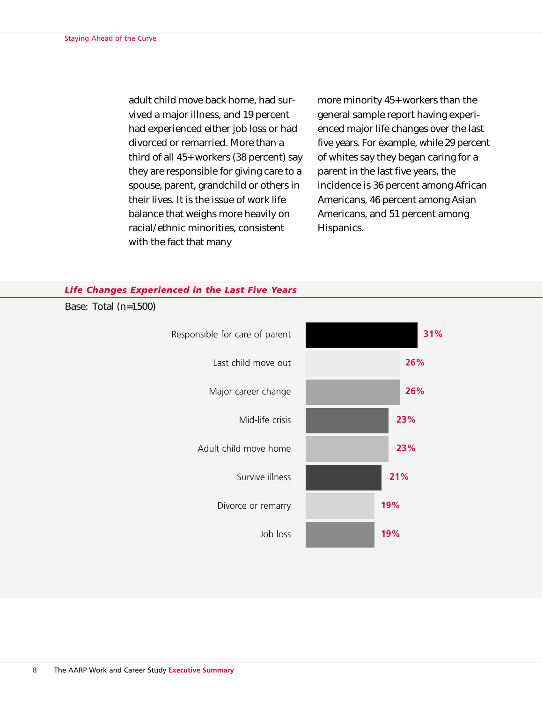adult child move back home, had survived a major illness, and 19 percent had experienced either job loss or had divorced or remarried. More than a third of all 45+ workers (38 percent) say they are responsible for giving care to a spouse, parent, grandchild or others in their lives. It is the issue of work life balance that weighs more heavily on racial/ethnic minorities, consistent with the fact that many

more minority 45+ workers than the general sample report having experienced major life changes over the last five years. For example, while 29 percent of whites say they began caring for a parent in the last five years, the incidence is 36 percent among African Americans, 46 percent among Asian Americans, and 51 percent among Hispanics.

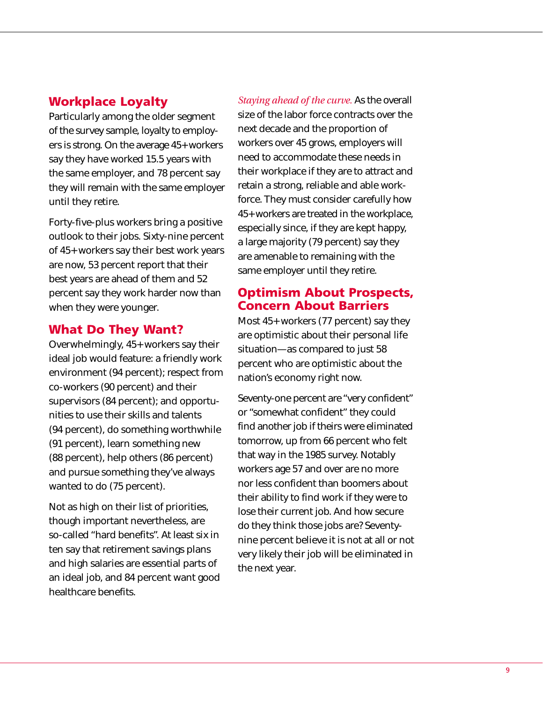# **Workplace Loyalty**

Particularly among the older segment of the survey sample, loyalty to employers is strong. On the average 45+ workers say they have worked 15.5 years with the same employer, and 78 percent say they will remain with the same employer until they retire.

Forty-five-plus workers bring a positive outlook to their jobs. Sixty-nine percent of 45+ workers say their best work years are now, 53 percent report that their best years are ahead of them and 52 percent say they work harder now than when they were younger.

# **What Do They Want?**

Overwhelmingly, 45+ workers say their ideal job would feature: a friendly work environment (94 percent); respect from co-workers (90 percent) and their supervisors (84 percent); and opportunities to use their skills and talents (94 percent), do something worthwhile (91 percent), learn something new (88 percent), help others (86 percent) and pursue something they've always wanted to do (75 percent).

Not as high on their list of priorities, though important nevertheless, are so-called "hard benefits". At least six in ten say that retirement savings plans and high salaries are essential parts of an ideal job, and 84 percent want good healthcare benefits.

*Staying ahead of the curve.* As the overall size of the labor force contracts over the next decade and the proportion of workers over 45 grows, employers will need to accommodate these needs in their workplace if they are to attract and retain a strong, reliable and able workforce. They must consider carefully how 45+ workers are treated in the workplace, especially since, if they are kept happy, a large majority (79 percent) say they are amenable to remaining with the same employer until they retire.

# **Optimism About Prospects, Concern About Barriers**

Most 45+ workers (77 percent) say they are optimistic about their personal life situation—as compared to just 58 percent who are optimistic about the nation's economy right now.

Seventy-one percent are "very confident" or "somewhat confident" they could find another job if theirs were eliminated tomorrow, up from 66 percent who felt that way in the 1985 survey. Notably workers age 57 and over are no more nor less confident than boomers about their ability to find work if they were to lose their current job. And how secure do they think those jobs are? Seventynine percent believe it is not at all or not very likely their job will be eliminated in the next year.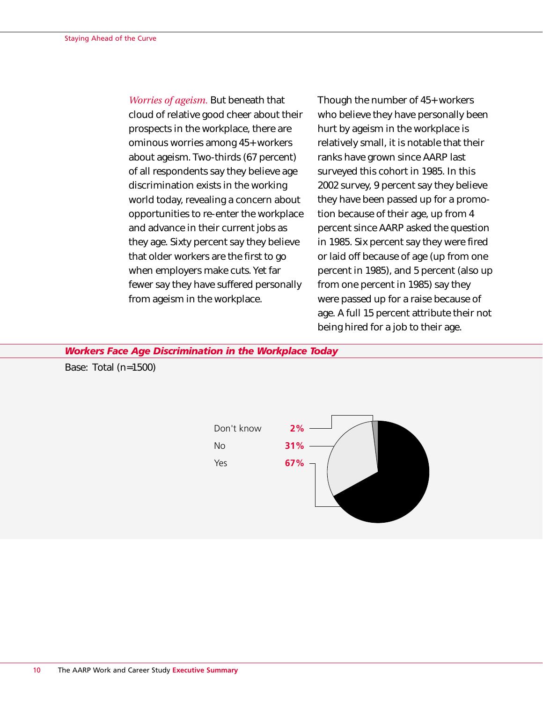*Worries of ageism.* But beneath that cloud of relative good cheer about their prospects in the workplace, there are ominous worries among 45+ workers about ageism. Two-thirds (67 percent) of all respondents say they believe age discrimination exists in the working world today, revealing a concern about opportunities to re-enter the workplace and advance in their current jobs as they age. Sixty percent say they believe that older workers are the first to go when employers make cuts. Yet far fewer say they have suffered personally from ageism in the workplace.

Though the number of 45+ workers who believe they have personally been hurt by ageism in the workplace is relatively small, it is notable that their ranks have grown since AARP last surveyed this cohort in 1985. In this 2002 survey, 9 percent say they believe they have been passed up for a promotion because of their age, up from 4 percent since AARP asked the question in 1985. Six percent say they were fired or laid off because of age (up from one percent in 1985), and 5 percent (also up from one percent in 1985) say they were passed up for a raise because of age. A full 15 percent attribute their not being hired for a job to their age.

*Workers Face Age Discrimination in the Workplace Today*

Base: Total (n=1500)

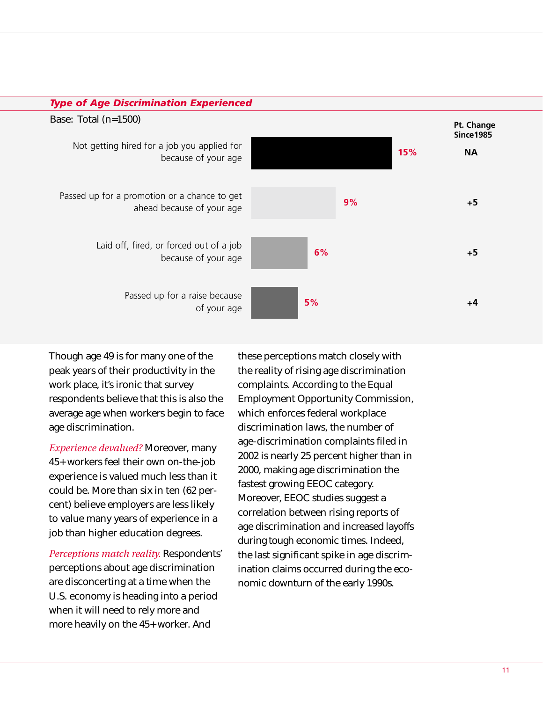

Though age 49 is for many one of the peak years of their productivity in the work place, it's ironic that survey respondents believe that this is also the average age when workers begin to face age discrimination.

*Experience devalued?* Moreover, many 45+ workers feel their own on-the-job experience is valued much less than it could be. More than six in ten (62 percent) believe employers are less likely to value many years of experience in a job than higher education degrees.

*Perceptions match reality.* Respondents' perceptions about age discrimination are disconcerting at a time when the U.S. economy is heading into a period when it will need to rely more and more heavily on the 45+ worker. And

these perceptions match closely with the reality of rising age discrimination complaints. According to the Equal Employment Opportunity Commission, which enforces federal workplace discrimination laws, the number of age-discrimination complaints filed in 2002 is nearly 25 percent higher than in 2000, making age discrimination the fastest growing EEOC category. Moreover, EEOC studies suggest a correlation between rising reports of age discrimination and increased layoffs during tough economic times. Indeed, the last significant spike in age discrimination claims occurred during the economic downturn of the early 1990s.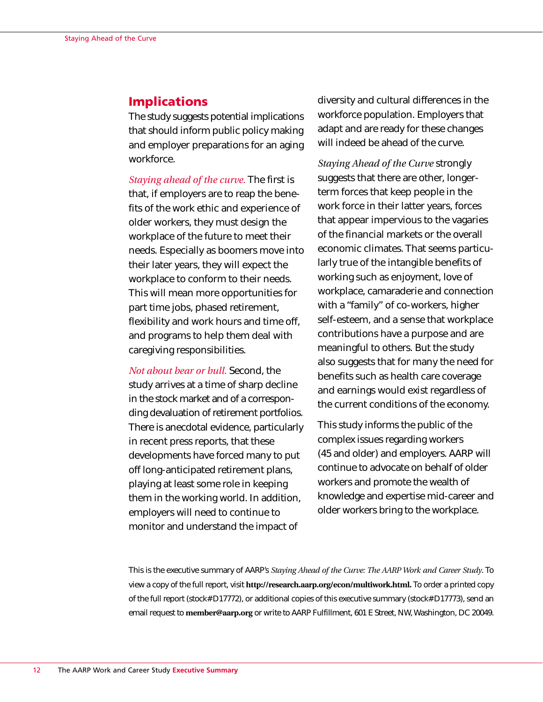# **Implications**

The study suggests potential implications that should inform public policy making and employer preparations for an aging workforce.

*Staying ahead of the curve.* The first is that, if employers are to reap the benefits of the work ethic and experience of older workers, they must design the workplace of the future to meet their needs. Especially as boomers move into their later years, they will expect the workplace to conform to their needs. This will mean more opportunities for part time jobs, phased retirement, flexibility and work hours and time off, and programs to help them deal with caregiving responsibilities.

*Not about bear or bull.* Second, the study arrives at a time of sharp decline in the stock market and of a corresponding devaluation of retirement portfolios. There is anecdotal evidence, particularly in recent press reports, that these developments have forced many to put off long-anticipated retirement plans, playing at least some role in keeping them in the working world. In addition, employers will need to continue to monitor and understand the impact of

diversity and cultural differences in the workforce population. Employers that adapt and are ready for these changes will indeed be ahead of the curve.

*Staying Ahead of the Curve* strongly suggests that there are other, longerterm forces that keep people in the work force in their latter years, forces that appear impervious to the vagaries of the financial markets or the overall economic climates. That seems particularly true of the intangible benefits of working such as enjoyment, love of workplace, camaraderie and connection with a "family" of co-workers, higher self-esteem, and a sense that workplace contributions have a purpose and are meaningful to others. But the study also suggests that for many the need for benefits such as health care coverage and earnings would exist regardless of the current conditions of the economy.

This study informs the public of the complex issues regarding workers (45 and older) and employers. AARP will continue to advocate on behalf of older workers and promote the wealth of knowledge and expertise mid-career and older workers bring to the workplace.

This is the executive summary of AARP's *Staying Ahead of the Curve: The AARP Work and Career Study*. To view a copy of the full report, visit **http://research.aarp.org/econ/multiwork.html.** To order a printed copy of the full report (stock# D17772), or additional copies of this executive summary (stock# D17773), send an email request to **member@aarp.org** or write to AARP Fulfillment, 601 E Street, NW, Washington, DC 20049.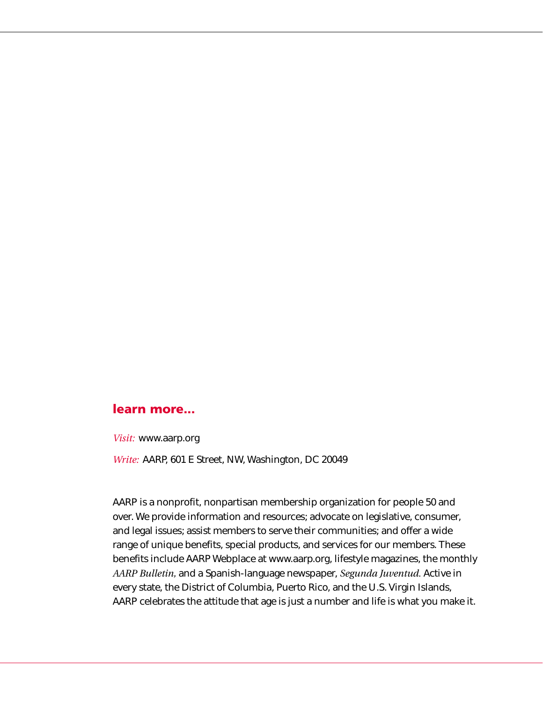# **learn more...**

*Visit:* www.aarp.org

*Write:* AARP, 601 E Street, NW, Washington, DC 20049

AARP is a nonprofit, nonpartisan membership organization for people 50 and over. We provide information and resources; advocate on legislative, consumer, and legal issues; assist members to serve their communities; and offer a wide range of unique benefits, special products, and services for our members. These benefits include AARP Webplace at www.aarp.org, lifestyle magazines, the monthly *AARP Bulletin,* and a Spanish-language newspaper, *Segunda Juventud.* Active in every state, the District of Columbia, Puerto Rico, and the U.S. Virgin Islands, AARP celebrates the attitude that age is just a number and life is what you make it.